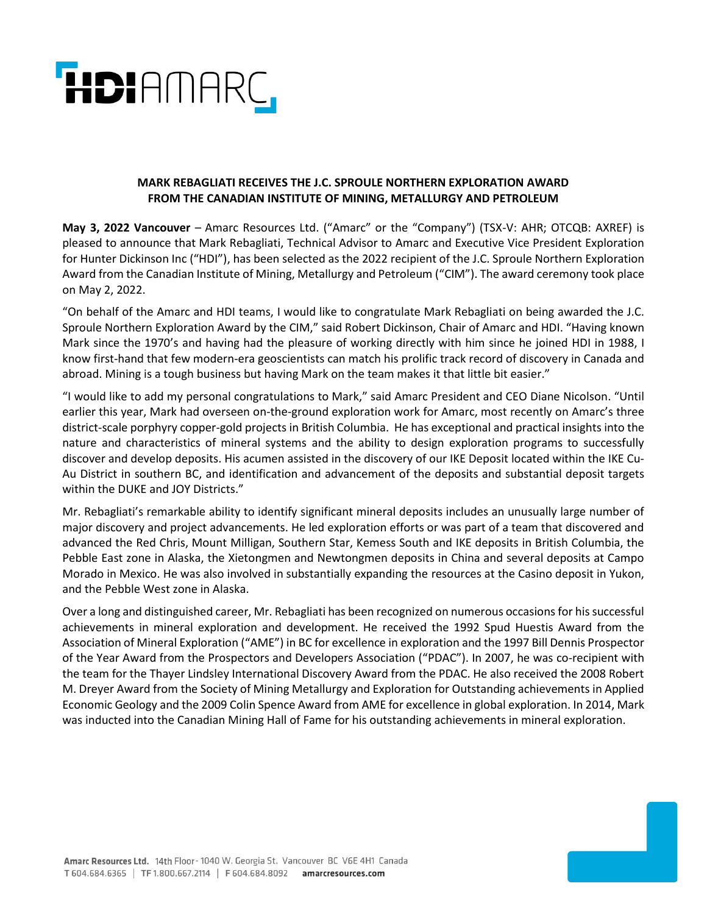

## **MARK REBAGLIATI RECEIVES THE J.C. SPROULE NORTHERN EXPLORATION AWARD FROM THE CANADIAN INSTITUTE OF MINING, METALLURGY AND PETROLEUM**

**May 3, 2022 Vancouver** – Amarc Resources Ltd. ("Amarc" or the "Company") (TSX-V: AHR; OTCQB: AXREF) is pleased to announce that Mark Rebagliati, Technical Advisor to Amarc and Executive Vice President Exploration for Hunter Dickinson Inc ("HDI"), has been selected as the 2022 recipient of the J.C. Sproule Northern Exploration Award from the Canadian Institute of Mining, Metallurgy and Petroleum ("CIM"). The award ceremony took place on May 2, 2022.

"On behalf of the Amarc and HDI teams, I would like to congratulate Mark Rebagliati on being awarded the J.C. Sproule Northern Exploration Award by the CIM," said Robert Dickinson, Chair of Amarc and HDI. "Having known Mark since the 1970's and having had the pleasure of working directly with him since he joined HDI in 1988, I know first-hand that few modern-era geoscientists can match his prolific track record of discovery in Canada and abroad. Mining is a tough business but having Mark on the team makes it that little bit easier."

"I would like to add my personal congratulations to Mark," said Amarc President and CEO Diane Nicolson. "Until earlier this year, Mark had overseen on-the-ground exploration work for Amarc, most recently on Amarc's three district-scale porphyry copper-gold projects in British Columbia. He has exceptional and practical insights into the nature and characteristics of mineral systems and the ability to design exploration programs to successfully discover and develop deposits. His acumen assisted in the discovery of our IKE Deposit located within the IKE Cu-Au District in southern BC, and identification and advancement of the deposits and substantial deposit targets within the DUKE and JOY Districts."

Mr. Rebagliati's remarkable ability to identify significant mineral deposits includes an unusually large number of major discovery and project advancements. He led exploration efforts or was part of a team that discovered and advanced the Red Chris, Mount Milligan, Southern Star, Kemess South and IKE deposits in British Columbia, the Pebble East zone in Alaska, the Xietongmen and Newtongmen deposits in China and several deposits at Campo Morado in Mexico. He was also involved in substantially expanding the resources at the Casino deposit in Yukon, and the Pebble West zone in Alaska.

Over a long and distinguished career, Mr. Rebagliati has been recognized on numerous occasions for his successful achievements in mineral exploration and development. He received the 1992 Spud Huestis Award from the Association of Mineral Exploration ("AME") in BC for excellence in exploration and the 1997 Bill Dennis Prospector of the Year Award from the Prospectors and Developers Association ("PDAC"). In 2007, he was co-recipient with the team for the Thayer Lindsley International Discovery Award from the PDAC. He also received the 2008 Robert M. Dreyer Award from the Society of Mining Metallurgy and Exploration for Outstanding achievements in Applied Economic Geology and the 2009 Colin Spence Award from AME for excellence in global exploration. In 2014, Mark was inducted into the Canadian Mining Hall of Fame for his outstanding achievements in mineral exploration.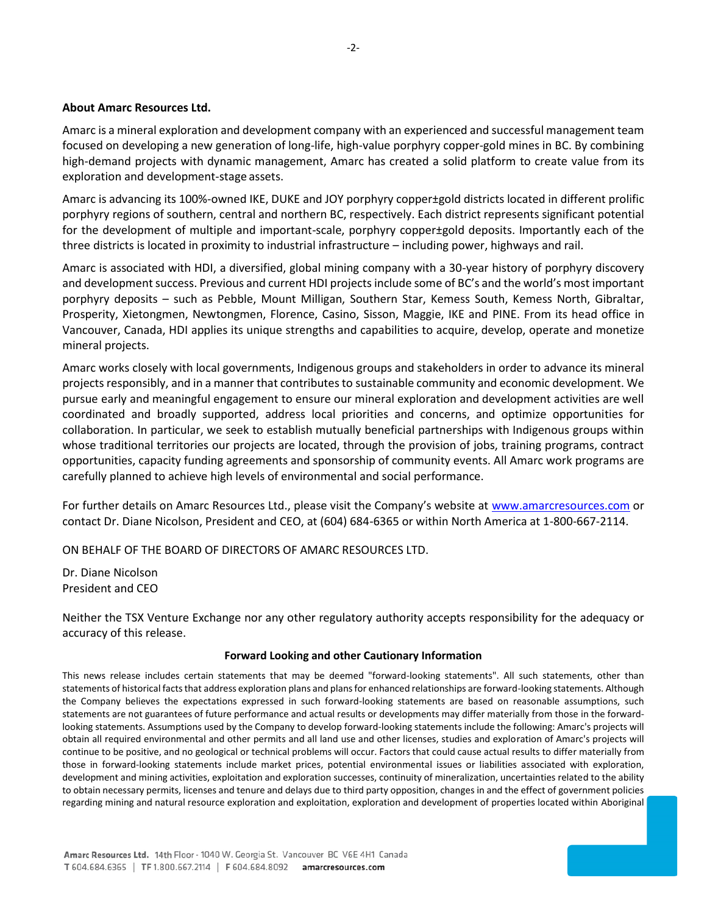## **About Amarc Resources Ltd.**

Amarc is a mineral exploration and development company with an experienced and successful management team focused on developing a new generation of long-life, high-value porphyry copper-gold mines in BC. By combining high-demand projects with dynamic management, Amarc has created a solid platform to create value from its exploration and development-stage assets.

Amarc is advancing its 100%-owned IKE, DUKE and JOY porphyry copper±gold districts located in different prolific porphyry regions of southern, central and northern BC, respectively. Each district represents significant potential for the development of multiple and important-scale, porphyry copper±gold deposits. Importantly each of the three districts is located in proximity to industrial infrastructure – including power, highways and rail.

Amarc is associated with HDI, a diversified, global mining company with a 30-year history of porphyry discovery and development success. Previous and current HDI projects include some of BC's and the world's most important porphyry deposits – such as Pebble, Mount Milligan, Southern Star, Kemess South, Kemess North, Gibraltar, Prosperity, Xietongmen, Newtongmen, Florence, Casino, Sisson, Maggie, IKE and PINE. From its head office in Vancouver, Canada, HDI applies its unique strengths and capabilities to acquire, develop, operate and monetize mineral projects.

Amarc works closely with local governments, Indigenous groups and stakeholders in order to advance its mineral projects responsibly, and in a manner that contributes to sustainable community and economic development. We pursue early and meaningful engagement to ensure our mineral exploration and development activities are well coordinated and broadly supported, address local priorities and concerns, and optimize opportunities for collaboration. In particular, we seek to establish mutually beneficial partnerships with Indigenous groups within whose traditional territories our projects are located, through the provision of jobs, training programs, contract opportunities, capacity funding agreements and sponsorship of community events. All Amarc work programs are carefully planned to achieve high levels of environmental and social performance.

For further details on Amarc Resources Ltd., please visit the Company's website at [www.amarcresources.com](http://www.amarcresources.com/) or contact Dr. Diane Nicolson, President and CEO, at (604) 684-6365 or within North America at 1-800-667-2114.

ON BEHALF OF THE BOARD OF DIRECTORS OF AMARC RESOURCES LTD.

Dr. Diane Nicolson President and CEO

Neither the TSX Venture Exchange nor any other regulatory authority accepts responsibility for the adequacy or accuracy of this release.

## **Forward Looking and other Cautionary Information**

This news release includes certain statements that may be deemed "forward-looking statements". All such statements, other than statements of historical facts that address exploration plans and plans for enhanced relationships are forward-looking statements. Although the Company believes the expectations expressed in such forward-looking statements are based on reasonable assumptions, such statements are not guarantees of future performance and actual results or developments may differ materially from those in the forwardlooking statements. Assumptions used by the Company to develop forward-looking statements include the following: Amarc's projects will obtain all required environmental and other permits and all land use and other licenses, studies and exploration of Amarc's projects will continue to be positive, and no geological or technical problems will occur. Factors that could cause actual results to differ materially from those in forward-looking statements include market prices, potential environmental issues or liabilities associated with exploration, development and mining activities, exploitation and exploration successes, continuity of mineralization, uncertainties related to the ability to obtain necessary permits, licenses and tenure and delays due to third party opposition, changes in and the effect of government policies regarding mining and natural resource exploration and exploitation, exploration and development of properties located within Aboriginal

-2-